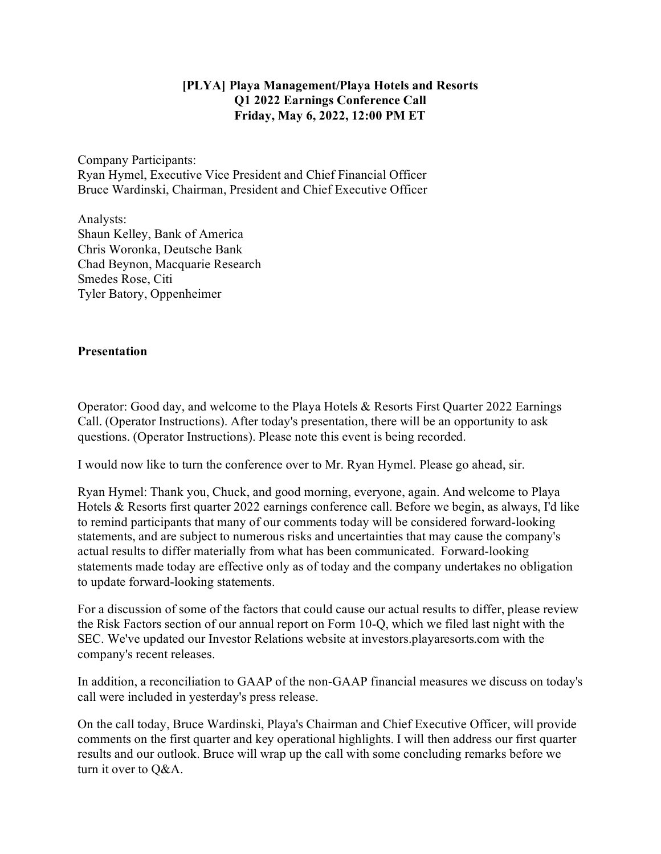## **[PLYA] Playa Management/Playa Hotels and Resorts Q1 2022 Earnings Conference Call Friday, May 6, 2022, 12:00 PM ET**

Company Participants: Ryan Hymel, Executive Vice President and Chief Financial Officer Bruce Wardinski, Chairman, President and Chief Executive Officer

Analysts: Shaun Kelley, Bank of America Chris Woronka, Deutsche Bank Chad Beynon, Macquarie Research Smedes Rose, Citi Tyler Batory, Oppenheimer

## **Presentation**

Operator: Good day, and welcome to the Playa Hotels & Resorts First Quarter 2022 Earnings Call. (Operator Instructions). After today's presentation, there will be an opportunity to ask questions. (Operator Instructions). Please note this event is being recorded.

I would now like to turn the conference over to Mr. Ryan Hymel. Please go ahead, sir.

Ryan Hymel: Thank you, Chuck, and good morning, everyone, again. And welcome to Playa Hotels & Resorts first quarter 2022 earnings conference call. Before we begin, as always, I'd like to remind participants that many of our comments today will be considered forward-looking statements, and are subject to numerous risks and uncertainties that may cause the company's actual results to differ materially from what has been communicated. Forward-looking statements made today are effective only as of today and the company undertakes no obligation to update forward-looking statements.

For a discussion of some of the factors that could cause our actual results to differ, please review the Risk Factors section of our annual report on Form 10-Q, which we filed last night with the SEC. We've updated our Investor Relations website at investors.playaresorts.com with the company's recent releases.

In addition, a reconciliation to GAAP of the non-GAAP financial measures we discuss on today's call were included in yesterday's press release.

On the call today, Bruce Wardinski, Playa's Chairman and Chief Executive Officer, will provide comments on the first quarter and key operational highlights. I will then address our first quarter results and our outlook. Bruce will wrap up the call with some concluding remarks before we turn it over to Q&A.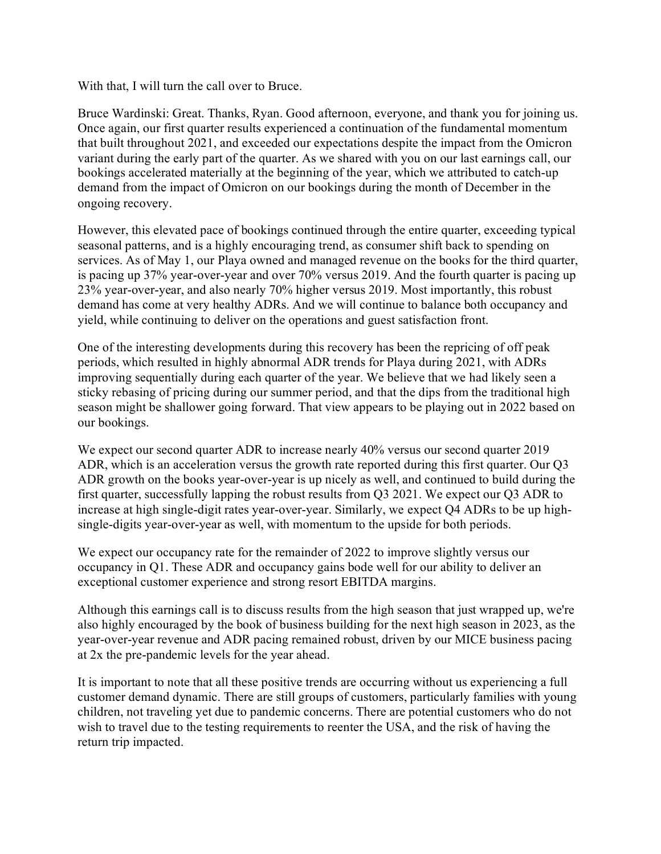With that, I will turn the call over to Bruce.

Bruce Wardinski: Great. Thanks, Ryan. Good afternoon, everyone, and thank you for joining us. Once again, our first quarter results experienced a continuation of the fundamental momentum that built throughout 2021, and exceeded our expectations despite the impact from the Omicron variant during the early part of the quarter. As we shared with you on our last earnings call, our bookings accelerated materially at the beginning of the year, which we attributed to catch-up demand from the impact of Omicron on our bookings during the month of December in the ongoing recovery.

However, this elevated pace of bookings continued through the entire quarter, exceeding typical seasonal patterns, and is a highly encouraging trend, as consumer shift back to spending on services. As of May 1, our Playa owned and managed revenue on the books for the third quarter, is pacing up 37% year-over-year and over 70% versus 2019. And the fourth quarter is pacing up 23% year-over-year, and also nearly 70% higher versus 2019. Most importantly, this robust demand has come at very healthy ADRs. And we will continue to balance both occupancy and yield, while continuing to deliver on the operations and guest satisfaction front.

One of the interesting developments during this recovery has been the repricing of off peak periods, which resulted in highly abnormal ADR trends for Playa during 2021, with ADRs improving sequentially during each quarter of the year. We believe that we had likely seen a sticky rebasing of pricing during our summer period, and that the dips from the traditional high season might be shallower going forward. That view appears to be playing out in 2022 based on our bookings.

We expect our second quarter ADR to increase nearly 40% versus our second quarter 2019 ADR, which is an acceleration versus the growth rate reported during this first quarter. Our Q3 ADR growth on the books year-over-year is up nicely as well, and continued to build during the first quarter, successfully lapping the robust results from Q3 2021. We expect our Q3 ADR to increase at high single-digit rates year-over-year. Similarly, we expect Q4 ADRs to be up highsingle-digits year-over-year as well, with momentum to the upside for both periods.

We expect our occupancy rate for the remainder of 2022 to improve slightly versus our occupancy in Q1. These ADR and occupancy gains bode well for our ability to deliver an exceptional customer experience and strong resort EBITDA margins.

Although this earnings call is to discuss results from the high season that just wrapped up, we're also highly encouraged by the book of business building for the next high season in 2023, as the year-over-year revenue and ADR pacing remained robust, driven by our MICE business pacing at 2x the pre-pandemic levels for the year ahead.

It is important to note that all these positive trends are occurring without us experiencing a full customer demand dynamic. There are still groups of customers, particularly families with young children, not traveling yet due to pandemic concerns. There are potential customers who do not wish to travel due to the testing requirements to reenter the USA, and the risk of having the return trip impacted.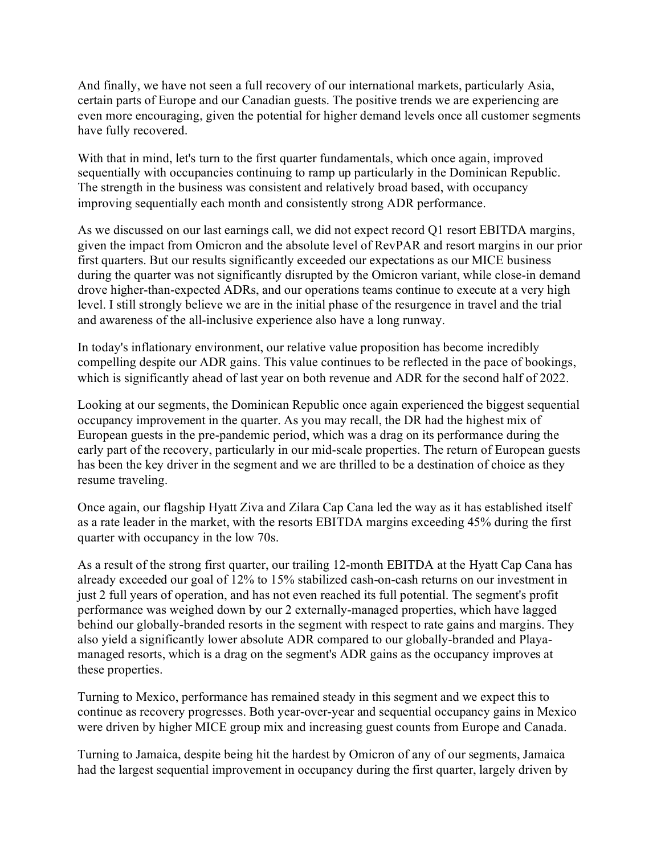And finally, we have not seen a full recovery of our international markets, particularly Asia, certain parts of Europe and our Canadian guests. The positive trends we are experiencing are even more encouraging, given the potential for higher demand levels once all customer segments have fully recovered.

With that in mind, let's turn to the first quarter fundamentals, which once again, improved sequentially with occupancies continuing to ramp up particularly in the Dominican Republic. The strength in the business was consistent and relatively broad based, with occupancy improving sequentially each month and consistently strong ADR performance.

As we discussed on our last earnings call, we did not expect record Q1 resort EBITDA margins, given the impact from Omicron and the absolute level of RevPAR and resort margins in our prior first quarters. But our results significantly exceeded our expectations as our MICE business during the quarter was not significantly disrupted by the Omicron variant, while close-in demand drove higher-than-expected ADRs, and our operations teams continue to execute at a very high level. I still strongly believe we are in the initial phase of the resurgence in travel and the trial and awareness of the all-inclusive experience also have a long runway.

In today's inflationary environment, our relative value proposition has become incredibly compelling despite our ADR gains. This value continues to be reflected in the pace of bookings, which is significantly ahead of last year on both revenue and ADR for the second half of 2022.

Looking at our segments, the Dominican Republic once again experienced the biggest sequential occupancy improvement in the quarter. As you may recall, the DR had the highest mix of European guests in the pre-pandemic period, which was a drag on its performance during the early part of the recovery, particularly in our mid-scale properties. The return of European guests has been the key driver in the segment and we are thrilled to be a destination of choice as they resume traveling.

Once again, our flagship Hyatt Ziva and Zilara Cap Cana led the way as it has established itself as a rate leader in the market, with the resorts EBITDA margins exceeding 45% during the first quarter with occupancy in the low 70s.

As a result of the strong first quarter, our trailing 12-month EBITDA at the Hyatt Cap Cana has already exceeded our goal of 12% to 15% stabilized cash-on-cash returns on our investment in just 2 full years of operation, and has not even reached its full potential. The segment's profit performance was weighed down by our 2 externally-managed properties, which have lagged behind our globally-branded resorts in the segment with respect to rate gains and margins. They also yield a significantly lower absolute ADR compared to our globally-branded and Playamanaged resorts, which is a drag on the segment's ADR gains as the occupancy improves at these properties.

Turning to Mexico, performance has remained steady in this segment and we expect this to continue as recovery progresses. Both year-over-year and sequential occupancy gains in Mexico were driven by higher MICE group mix and increasing guest counts from Europe and Canada.

Turning to Jamaica, despite being hit the hardest by Omicron of any of our segments, Jamaica had the largest sequential improvement in occupancy during the first quarter, largely driven by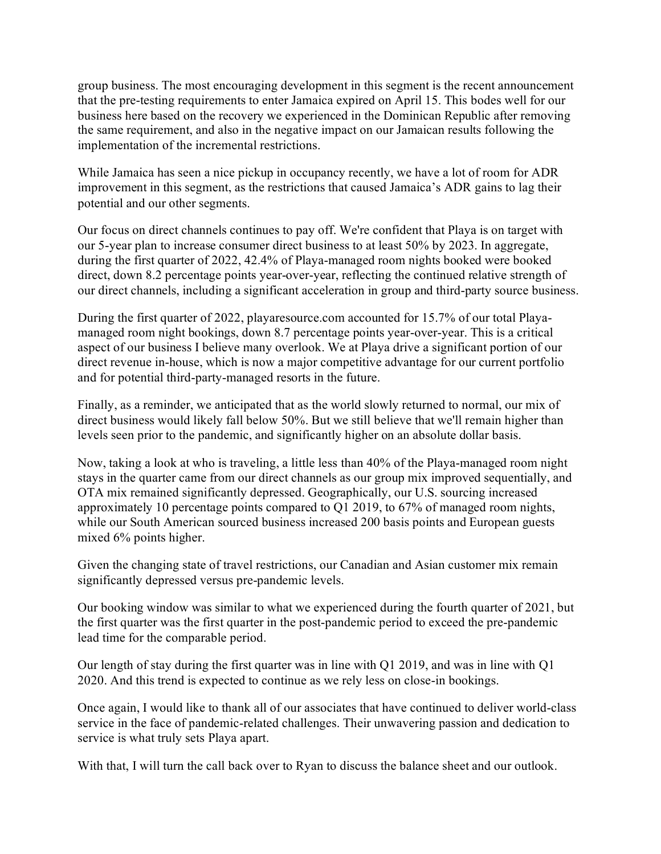group business. The most encouraging development in this segment is the recent announcement that the pre-testing requirements to enter Jamaica expired on April 15. This bodes well for our business here based on the recovery we experienced in the Dominican Republic after removing the same requirement, and also in the negative impact on our Jamaican results following the implementation of the incremental restrictions.

While Jamaica has seen a nice pickup in occupancy recently, we have a lot of room for ADR improvement in this segment, as the restrictions that caused Jamaica's ADR gains to lag their potential and our other segments.

Our focus on direct channels continues to pay off. We're confident that Playa is on target with our 5-year plan to increase consumer direct business to at least 50% by 2023. In aggregate, during the first quarter of 2022, 42.4% of Playa-managed room nights booked were booked direct, down 8.2 percentage points year-over-year, reflecting the continued relative strength of our direct channels, including a significant acceleration in group and third-party source business.

During the first quarter of 2022, playaresource.com accounted for 15.7% of our total Playamanaged room night bookings, down 8.7 percentage points year-over-year. This is a critical aspect of our business I believe many overlook. We at Playa drive a significant portion of our direct revenue in-house, which is now a major competitive advantage for our current portfolio and for potential third-party-managed resorts in the future.

Finally, as a reminder, we anticipated that as the world slowly returned to normal, our mix of direct business would likely fall below 50%. But we still believe that we'll remain higher than levels seen prior to the pandemic, and significantly higher on an absolute dollar basis.

Now, taking a look at who is traveling, a little less than 40% of the Playa-managed room night stays in the quarter came from our direct channels as our group mix improved sequentially, and OTA mix remained significantly depressed. Geographically, our U.S. sourcing increased approximately 10 percentage points compared to Q1 2019, to 67% of managed room nights, while our South American sourced business increased 200 basis points and European guests mixed 6% points higher.

Given the changing state of travel restrictions, our Canadian and Asian customer mix remain significantly depressed versus pre-pandemic levels.

Our booking window was similar to what we experienced during the fourth quarter of 2021, but the first quarter was the first quarter in the post-pandemic period to exceed the pre-pandemic lead time for the comparable period.

Our length of stay during the first quarter was in line with Q1 2019, and was in line with Q1 2020. And this trend is expected to continue as we rely less on close-in bookings.

Once again, I would like to thank all of our associates that have continued to deliver world-class service in the face of pandemic-related challenges. Their unwavering passion and dedication to service is what truly sets Playa apart.

With that, I will turn the call back over to Ryan to discuss the balance sheet and our outlook.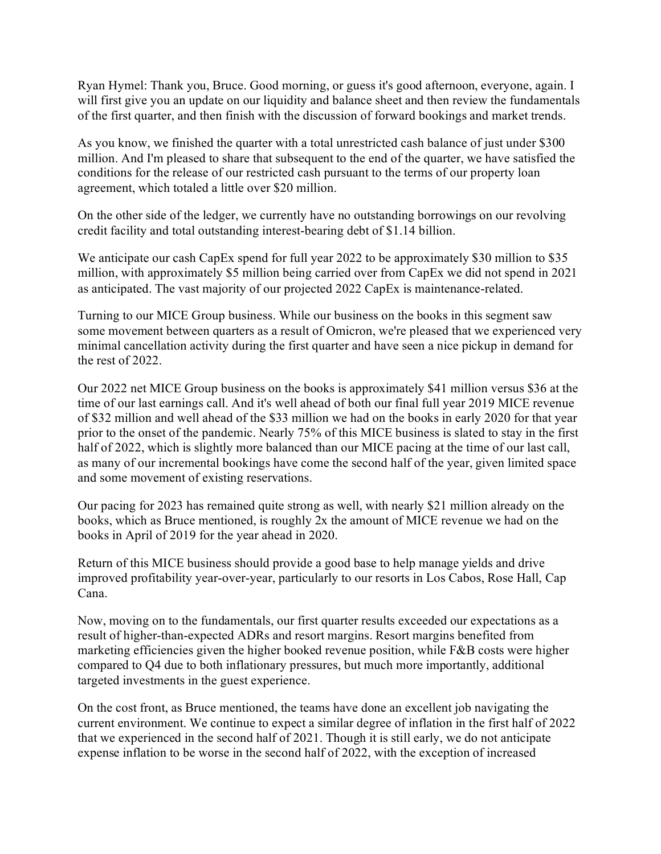Ryan Hymel: Thank you, Bruce. Good morning, or guess it's good afternoon, everyone, again. I will first give you an update on our liquidity and balance sheet and then review the fundamentals of the first quarter, and then finish with the discussion of forward bookings and market trends.

As you know, we finished the quarter with a total unrestricted cash balance of just under \$300 million. And I'm pleased to share that subsequent to the end of the quarter, we have satisfied the conditions for the release of our restricted cash pursuant to the terms of our property loan agreement, which totaled a little over \$20 million.

On the other side of the ledger, we currently have no outstanding borrowings on our revolving credit facility and total outstanding interest-bearing debt of \$1.14 billion.

We anticipate our cash CapEx spend for full year 2022 to be approximately \$30 million to \$35 million, with approximately \$5 million being carried over from CapEx we did not spend in 2021 as anticipated. The vast majority of our projected 2022 CapEx is maintenance-related.

Turning to our MICE Group business. While our business on the books in this segment saw some movement between quarters as a result of Omicron, we're pleased that we experienced very minimal cancellation activity during the first quarter and have seen a nice pickup in demand for the rest of 2022.

Our 2022 net MICE Group business on the books is approximately \$41 million versus \$36 at the time of our last earnings call. And it's well ahead of both our final full year 2019 MICE revenue of \$32 million and well ahead of the \$33 million we had on the books in early 2020 for that year prior to the onset of the pandemic. Nearly 75% of this MICE business is slated to stay in the first half of 2022, which is slightly more balanced than our MICE pacing at the time of our last call, as many of our incremental bookings have come the second half of the year, given limited space and some movement of existing reservations.

Our pacing for 2023 has remained quite strong as well, with nearly \$21 million already on the books, which as Bruce mentioned, is roughly 2x the amount of MICE revenue we had on the books in April of 2019 for the year ahead in 2020.

Return of this MICE business should provide a good base to help manage yields and drive improved profitability year-over-year, particularly to our resorts in Los Cabos, Rose Hall, Cap Cana.

Now, moving on to the fundamentals, our first quarter results exceeded our expectations as a result of higher-than-expected ADRs and resort margins. Resort margins benefited from marketing efficiencies given the higher booked revenue position, while F&B costs were higher compared to Q4 due to both inflationary pressures, but much more importantly, additional targeted investments in the guest experience.

On the cost front, as Bruce mentioned, the teams have done an excellent job navigating the current environment. We continue to expect a similar degree of inflation in the first half of 2022 that we experienced in the second half of 2021. Though it is still early, we do not anticipate expense inflation to be worse in the second half of 2022, with the exception of increased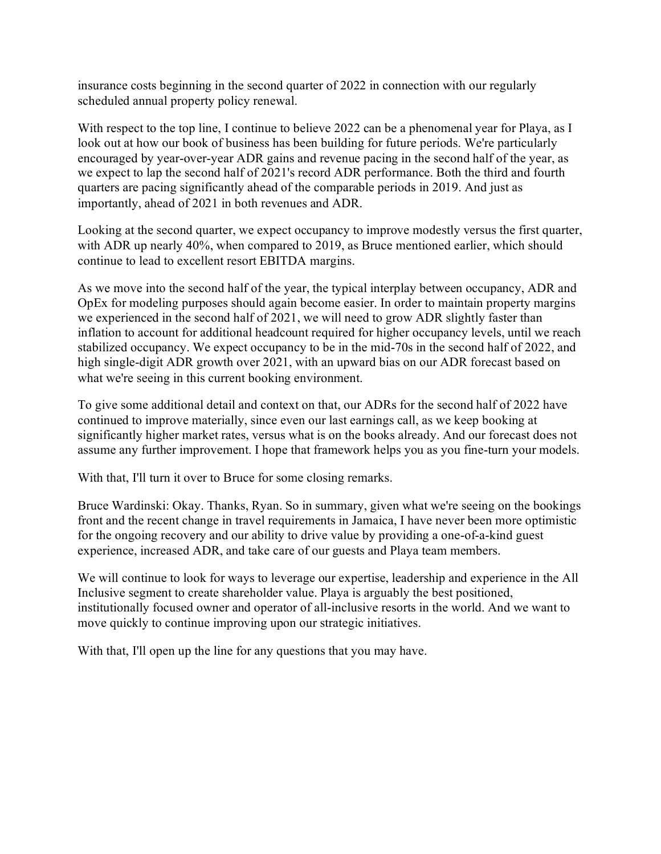insurance costs beginning in the second quarter of 2022 in connection with our regularly scheduled annual property policy renewal.

With respect to the top line, I continue to believe 2022 can be a phenomenal year for Playa, as I look out at how our book of business has been building for future periods. We're particularly encouraged by year-over-year ADR gains and revenue pacing in the second half of the year, as we expect to lap the second half of 2021's record ADR performance. Both the third and fourth quarters are pacing significantly ahead of the comparable periods in 2019. And just as importantly, ahead of 2021 in both revenues and ADR.

Looking at the second quarter, we expect occupancy to improve modestly versus the first quarter, with ADR up nearly 40%, when compared to 2019, as Bruce mentioned earlier, which should continue to lead to excellent resort EBITDA margins.

As we move into the second half of the year, the typical interplay between occupancy, ADR and OpEx for modeling purposes should again become easier. In order to maintain property margins we experienced in the second half of 2021, we will need to grow ADR slightly faster than inflation to account for additional headcount required for higher occupancy levels, until we reach stabilized occupancy. We expect occupancy to be in the mid-70s in the second half of 2022, and high single-digit ADR growth over 2021, with an upward bias on our ADR forecast based on what we're seeing in this current booking environment.

To give some additional detail and context on that, our ADRs for the second half of 2022 have continued to improve materially, since even our last earnings call, as we keep booking at significantly higher market rates, versus what is on the books already. And our forecast does not assume any further improvement. I hope that framework helps you as you fine-turn your models.

With that, I'll turn it over to Bruce for some closing remarks.

Bruce Wardinski: Okay. Thanks, Ryan. So in summary, given what we're seeing on the bookings front and the recent change in travel requirements in Jamaica, I have never been more optimistic for the ongoing recovery and our ability to drive value by providing a one-of-a-kind guest experience, increased ADR, and take care of our guests and Playa team members.

We will continue to look for ways to leverage our expertise, leadership and experience in the All Inclusive segment to create shareholder value. Playa is arguably the best positioned, institutionally focused owner and operator of all-inclusive resorts in the world. And we want to move quickly to continue improving upon our strategic initiatives.

With that, I'll open up the line for any questions that you may have.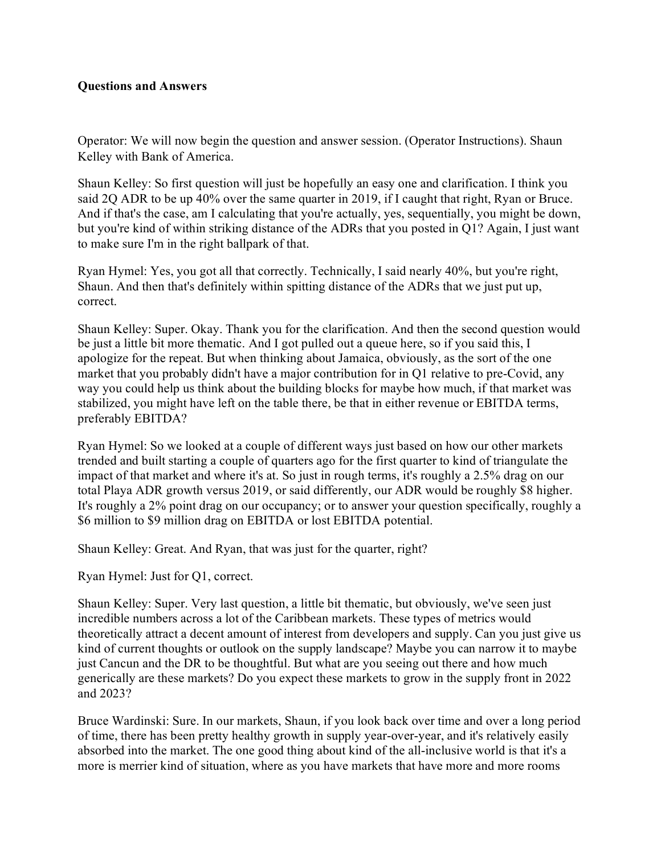## **Questions and Answers**

Operator: We will now begin the question and answer session. (Operator Instructions). Shaun Kelley with Bank of America.

Shaun Kelley: So first question will just be hopefully an easy one and clarification. I think you said 2Q ADR to be up 40% over the same quarter in 2019, if I caught that right, Ryan or Bruce. And if that's the case, am I calculating that you're actually, yes, sequentially, you might be down, but you're kind of within striking distance of the ADRs that you posted in Q1? Again, I just want to make sure I'm in the right ballpark of that.

Ryan Hymel: Yes, you got all that correctly. Technically, I said nearly 40%, but you're right, Shaun. And then that's definitely within spitting distance of the ADRs that we just put up, correct.

Shaun Kelley: Super. Okay. Thank you for the clarification. And then the second question would be just a little bit more thematic. And I got pulled out a queue here, so if you said this, I apologize for the repeat. But when thinking about Jamaica, obviously, as the sort of the one market that you probably didn't have a major contribution for in Q1 relative to pre-Covid, any way you could help us think about the building blocks for maybe how much, if that market was stabilized, you might have left on the table there, be that in either revenue or EBITDA terms, preferably EBITDA?

Ryan Hymel: So we looked at a couple of different ways just based on how our other markets trended and built starting a couple of quarters ago for the first quarter to kind of triangulate the impact of that market and where it's at. So just in rough terms, it's roughly a 2.5% drag on our total Playa ADR growth versus 2019, or said differently, our ADR would be roughly \$8 higher. It's roughly a 2% point drag on our occupancy; or to answer your question specifically, roughly a \$6 million to \$9 million drag on EBITDA or lost EBITDA potential.

Shaun Kelley: Great. And Ryan, that was just for the quarter, right?

Ryan Hymel: Just for Q1, correct.

Shaun Kelley: Super. Very last question, a little bit thematic, but obviously, we've seen just incredible numbers across a lot of the Caribbean markets. These types of metrics would theoretically attract a decent amount of interest from developers and supply. Can you just give us kind of current thoughts or outlook on the supply landscape? Maybe you can narrow it to maybe just Cancun and the DR to be thoughtful. But what are you seeing out there and how much generically are these markets? Do you expect these markets to grow in the supply front in 2022 and 2023?

Bruce Wardinski: Sure. In our markets, Shaun, if you look back over time and over a long period of time, there has been pretty healthy growth in supply year-over-year, and it's relatively easily absorbed into the market. The one good thing about kind of the all-inclusive world is that it's a more is merrier kind of situation, where as you have markets that have more and more rooms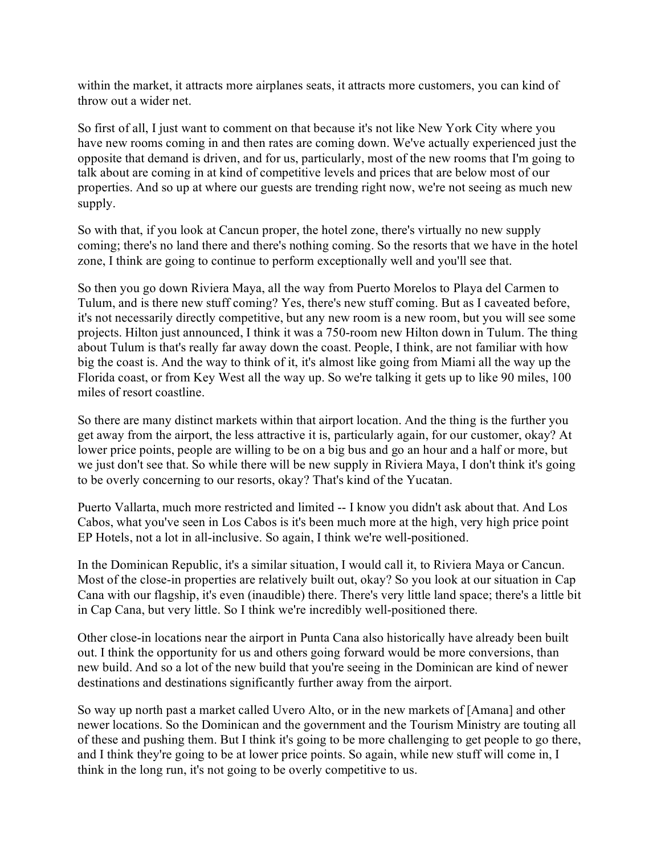within the market, it attracts more airplanes seats, it attracts more customers, you can kind of throw out a wider net.

So first of all, I just want to comment on that because it's not like New York City where you have new rooms coming in and then rates are coming down. We've actually experienced just the opposite that demand is driven, and for us, particularly, most of the new rooms that I'm going to talk about are coming in at kind of competitive levels and prices that are below most of our properties. And so up at where our guests are trending right now, we're not seeing as much new supply.

So with that, if you look at Cancun proper, the hotel zone, there's virtually no new supply coming; there's no land there and there's nothing coming. So the resorts that we have in the hotel zone, I think are going to continue to perform exceptionally well and you'll see that.

So then you go down Riviera Maya, all the way from Puerto Morelos to Playa del Carmen to Tulum, and is there new stuff coming? Yes, there's new stuff coming. But as I caveated before, it's not necessarily directly competitive, but any new room is a new room, but you will see some projects. Hilton just announced, I think it was a 750-room new Hilton down in Tulum. The thing about Tulum is that's really far away down the coast. People, I think, are not familiar with how big the coast is. And the way to think of it, it's almost like going from Miami all the way up the Florida coast, or from Key West all the way up. So we're talking it gets up to like 90 miles, 100 miles of resort coastline.

So there are many distinct markets within that airport location. And the thing is the further you get away from the airport, the less attractive it is, particularly again, for our customer, okay? At lower price points, people are willing to be on a big bus and go an hour and a half or more, but we just don't see that. So while there will be new supply in Riviera Maya, I don't think it's going to be overly concerning to our resorts, okay? That's kind of the Yucatan.

Puerto Vallarta, much more restricted and limited -- I know you didn't ask about that. And Los Cabos, what you've seen in Los Cabos is it's been much more at the high, very high price point EP Hotels, not a lot in all-inclusive. So again, I think we're well-positioned.

In the Dominican Republic, it's a similar situation, I would call it, to Riviera Maya or Cancun. Most of the close-in properties are relatively built out, okay? So you look at our situation in Cap Cana with our flagship, it's even (inaudible) there. There's very little land space; there's a little bit in Cap Cana, but very little. So I think we're incredibly well-positioned there.

Other close-in locations near the airport in Punta Cana also historically have already been built out. I think the opportunity for us and others going forward would be more conversions, than new build. And so a lot of the new build that you're seeing in the Dominican are kind of newer destinations and destinations significantly further away from the airport.

So way up north past a market called Uvero Alto, or in the new markets of [Amana] and other newer locations. So the Dominican and the government and the Tourism Ministry are touting all of these and pushing them. But I think it's going to be more challenging to get people to go there, and I think they're going to be at lower price points. So again, while new stuff will come in, I think in the long run, it's not going to be overly competitive to us.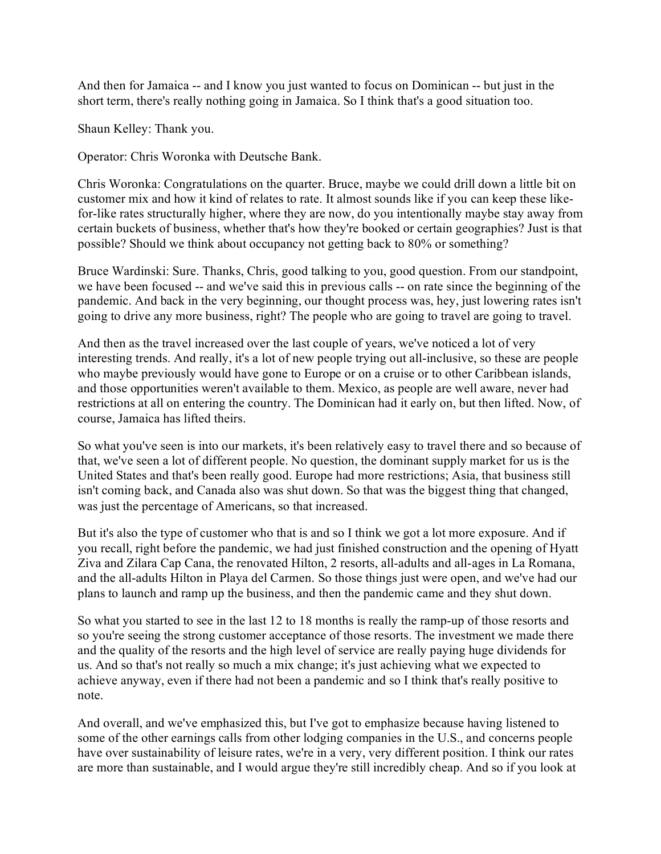And then for Jamaica -- and I know you just wanted to focus on Dominican -- but just in the short term, there's really nothing going in Jamaica. So I think that's a good situation too.

Shaun Kelley: Thank you.

Operator: Chris Woronka with Deutsche Bank.

Chris Woronka: Congratulations on the quarter. Bruce, maybe we could drill down a little bit on customer mix and how it kind of relates to rate. It almost sounds like if you can keep these likefor-like rates structurally higher, where they are now, do you intentionally maybe stay away from certain buckets of business, whether that's how they're booked or certain geographies? Just is that possible? Should we think about occupancy not getting back to 80% or something?

Bruce Wardinski: Sure. Thanks, Chris, good talking to you, good question. From our standpoint, we have been focused -- and we've said this in previous calls -- on rate since the beginning of the pandemic. And back in the very beginning, our thought process was, hey, just lowering rates isn't going to drive any more business, right? The people who are going to travel are going to travel.

And then as the travel increased over the last couple of years, we've noticed a lot of very interesting trends. And really, it's a lot of new people trying out all-inclusive, so these are people who maybe previously would have gone to Europe or on a cruise or to other Caribbean islands, and those opportunities weren't available to them. Mexico, as people are well aware, never had restrictions at all on entering the country. The Dominican had it early on, but then lifted. Now, of course, Jamaica has lifted theirs.

So what you've seen is into our markets, it's been relatively easy to travel there and so because of that, we've seen a lot of different people. No question, the dominant supply market for us is the United States and that's been really good. Europe had more restrictions; Asia, that business still isn't coming back, and Canada also was shut down. So that was the biggest thing that changed, was just the percentage of Americans, so that increased.

But it's also the type of customer who that is and so I think we got a lot more exposure. And if you recall, right before the pandemic, we had just finished construction and the opening of Hyatt Ziva and Zilara Cap Cana, the renovated Hilton, 2 resorts, all-adults and all-ages in La Romana, and the all-adults Hilton in Playa del Carmen. So those things just were open, and we've had our plans to launch and ramp up the business, and then the pandemic came and they shut down.

So what you started to see in the last 12 to 18 months is really the ramp-up of those resorts and so you're seeing the strong customer acceptance of those resorts. The investment we made there and the quality of the resorts and the high level of service are really paying huge dividends for us. And so that's not really so much a mix change; it's just achieving what we expected to achieve anyway, even if there had not been a pandemic and so I think that's really positive to note.

And overall, and we've emphasized this, but I've got to emphasize because having listened to some of the other earnings calls from other lodging companies in the U.S., and concerns people have over sustainability of leisure rates, we're in a very, very different position. I think our rates are more than sustainable, and I would argue they're still incredibly cheap. And so if you look at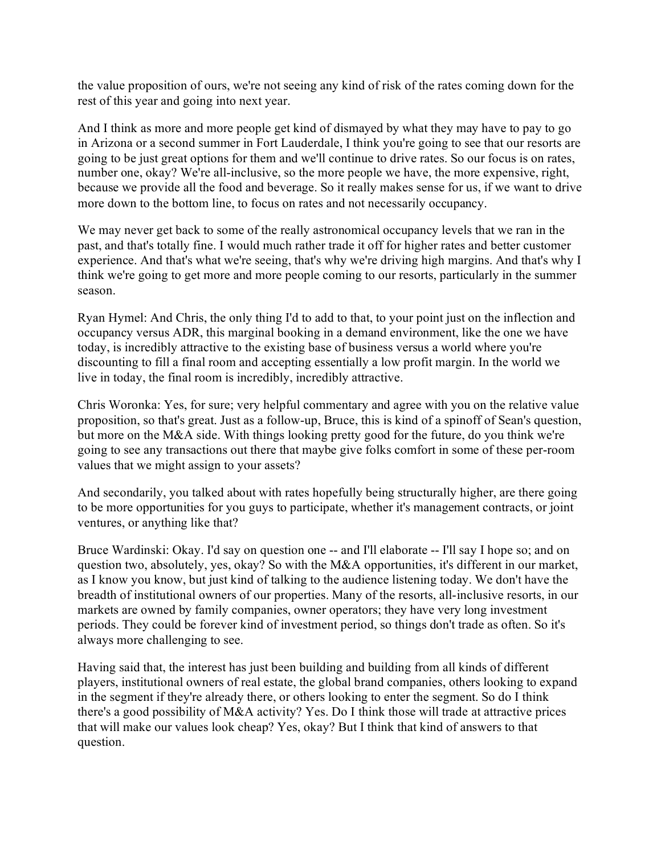the value proposition of ours, we're not seeing any kind of risk of the rates coming down for the rest of this year and going into next year.

And I think as more and more people get kind of dismayed by what they may have to pay to go in Arizona or a second summer in Fort Lauderdale, I think you're going to see that our resorts are going to be just great options for them and we'll continue to drive rates. So our focus is on rates, number one, okay? We're all-inclusive, so the more people we have, the more expensive, right, because we provide all the food and beverage. So it really makes sense for us, if we want to drive more down to the bottom line, to focus on rates and not necessarily occupancy.

We may never get back to some of the really astronomical occupancy levels that we ran in the past, and that's totally fine. I would much rather trade it off for higher rates and better customer experience. And that's what we're seeing, that's why we're driving high margins. And that's why I think we're going to get more and more people coming to our resorts, particularly in the summer season.

Ryan Hymel: And Chris, the only thing I'd to add to that, to your point just on the inflection and occupancy versus ADR, this marginal booking in a demand environment, like the one we have today, is incredibly attractive to the existing base of business versus a world where you're discounting to fill a final room and accepting essentially a low profit margin. In the world we live in today, the final room is incredibly, incredibly attractive.

Chris Woronka: Yes, for sure; very helpful commentary and agree with you on the relative value proposition, so that's great. Just as a follow-up, Bruce, this is kind of a spinoff of Sean's question, but more on the M&A side. With things looking pretty good for the future, do you think we're going to see any transactions out there that maybe give folks comfort in some of these per-room values that we might assign to your assets?

And secondarily, you talked about with rates hopefully being structurally higher, are there going to be more opportunities for you guys to participate, whether it's management contracts, or joint ventures, or anything like that?

Bruce Wardinski: Okay. I'd say on question one -- and I'll elaborate -- I'll say I hope so; and on question two, absolutely, yes, okay? So with the M&A opportunities, it's different in our market, as I know you know, but just kind of talking to the audience listening today. We don't have the breadth of institutional owners of our properties. Many of the resorts, all-inclusive resorts, in our markets are owned by family companies, owner operators; they have very long investment periods. They could be forever kind of investment period, so things don't trade as often. So it's always more challenging to see.

Having said that, the interest has just been building and building from all kinds of different players, institutional owners of real estate, the global brand companies, others looking to expand in the segment if they're already there, or others looking to enter the segment. So do I think there's a good possibility of M&A activity? Yes. Do I think those will trade at attractive prices that will make our values look cheap? Yes, okay? But I think that kind of answers to that question.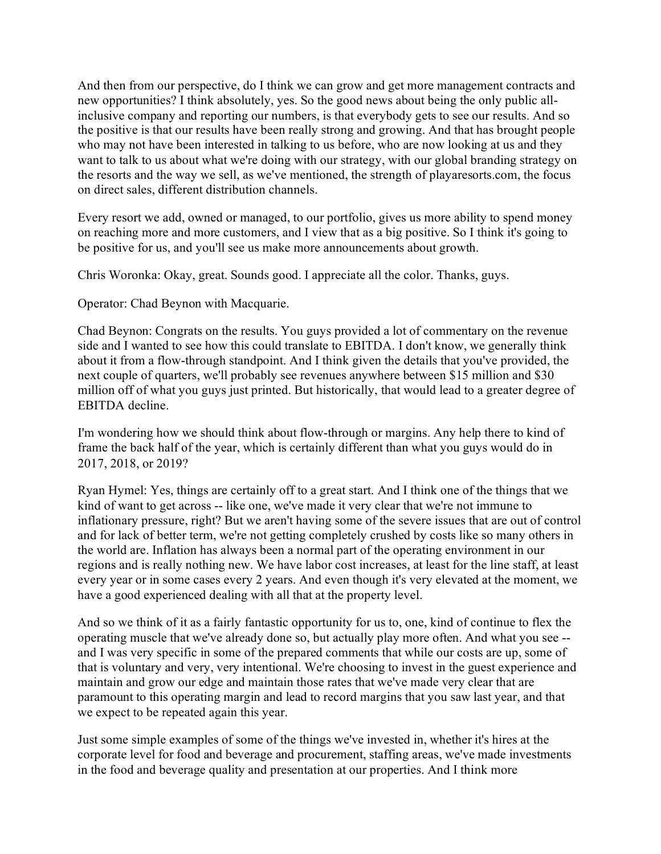And then from our perspective, do I think we can grow and get more management contracts and new opportunities? I think absolutely, yes. So the good news about being the only public allinclusive company and reporting our numbers, is that everybody gets to see our results. And so the positive is that our results have been really strong and growing. And that has brought people who may not have been interested in talking to us before, who are now looking at us and they want to talk to us about what we're doing with our strategy, with our global branding strategy on the resorts and the way we sell, as we've mentioned, the strength of playaresorts.com, the focus on direct sales, different distribution channels.

Every resort we add, owned or managed, to our portfolio, gives us more ability to spend money on reaching more and more customers, and I view that as a big positive. So I think it's going to be positive for us, and you'll see us make more announcements about growth.

Chris Woronka: Okay, great. Sounds good. I appreciate all the color. Thanks, guys.

Operator: Chad Beynon with Macquarie.

Chad Beynon: Congrats on the results. You guys provided a lot of commentary on the revenue side and I wanted to see how this could translate to EBITDA. I don't know, we generally think about it from a flow-through standpoint. And I think given the details that you've provided, the next couple of quarters, we'll probably see revenues anywhere between \$15 million and \$30 million off of what you guys just printed. But historically, that would lead to a greater degree of EBITDA decline.

I'm wondering how we should think about flow-through or margins. Any help there to kind of frame the back half of the year, which is certainly different than what you guys would do in 2017, 2018, or 2019?

Ryan Hymel: Yes, things are certainly off to a great start. And I think one of the things that we kind of want to get across -- like one, we've made it very clear that we're not immune to inflationary pressure, right? But we aren't having some of the severe issues that are out of control and for lack of better term, we're not getting completely crushed by costs like so many others in the world are. Inflation has always been a normal part of the operating environment in our regions and is really nothing new. We have labor cost increases, at least for the line staff, at least every year or in some cases every 2 years. And even though it's very elevated at the moment, we have a good experienced dealing with all that at the property level.

And so we think of it as a fairly fantastic opportunity for us to, one, kind of continue to flex the operating muscle that we've already done so, but actually play more often. And what you see - and I was very specific in some of the prepared comments that while our costs are up, some of that is voluntary and very, very intentional. We're choosing to invest in the guest experience and maintain and grow our edge and maintain those rates that we've made very clear that are paramount to this operating margin and lead to record margins that you saw last year, and that we expect to be repeated again this year.

Just some simple examples of some of the things we've invested in, whether it's hires at the corporate level for food and beverage and procurement, staffing areas, we've made investments in the food and beverage quality and presentation at our properties. And I think more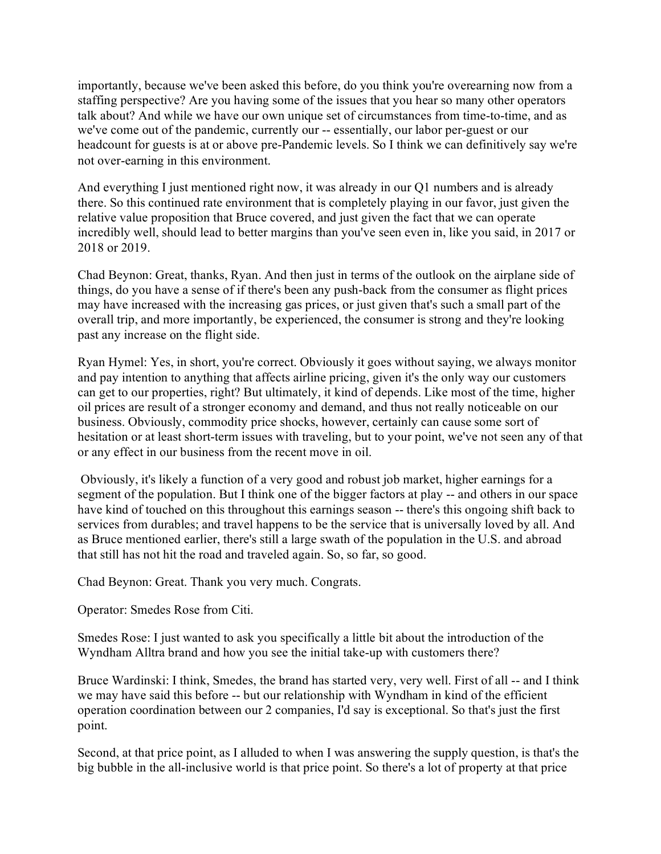importantly, because we've been asked this before, do you think you're overearning now from a staffing perspective? Are you having some of the issues that you hear so many other operators talk about? And while we have our own unique set of circumstances from time-to-time, and as we've come out of the pandemic, currently our -- essentially, our labor per-guest or our headcount for guests is at or above pre-Pandemic levels. So I think we can definitively say we're not over-earning in this environment.

And everything I just mentioned right now, it was already in our Q1 numbers and is already there. So this continued rate environment that is completely playing in our favor, just given the relative value proposition that Bruce covered, and just given the fact that we can operate incredibly well, should lead to better margins than you've seen even in, like you said, in 2017 or 2018 or 2019.

Chad Beynon: Great, thanks, Ryan. And then just in terms of the outlook on the airplane side of things, do you have a sense of if there's been any push-back from the consumer as flight prices may have increased with the increasing gas prices, or just given that's such a small part of the overall trip, and more importantly, be experienced, the consumer is strong and they're looking past any increase on the flight side.

Ryan Hymel: Yes, in short, you're correct. Obviously it goes without saying, we always monitor and pay intention to anything that affects airline pricing, given it's the only way our customers can get to our properties, right? But ultimately, it kind of depends. Like most of the time, higher oil prices are result of a stronger economy and demand, and thus not really noticeable on our business. Obviously, commodity price shocks, however, certainly can cause some sort of hesitation or at least short-term issues with traveling, but to your point, we've not seen any of that or any effect in our business from the recent move in oil.

Obviously, it's likely a function of a very good and robust job market, higher earnings for a segment of the population. But I think one of the bigger factors at play -- and others in our space have kind of touched on this throughout this earnings season -- there's this ongoing shift back to services from durables; and travel happens to be the service that is universally loved by all. And as Bruce mentioned earlier, there's still a large swath of the population in the U.S. and abroad that still has not hit the road and traveled again. So, so far, so good.

Chad Beynon: Great. Thank you very much. Congrats.

Operator: Smedes Rose from Citi.

Smedes Rose: I just wanted to ask you specifically a little bit about the introduction of the Wyndham Alltra brand and how you see the initial take-up with customers there?

Bruce Wardinski: I think, Smedes, the brand has started very, very well. First of all -- and I think we may have said this before -- but our relationship with Wyndham in kind of the efficient operation coordination between our 2 companies, I'd say is exceptional. So that's just the first point.

Second, at that price point, as I alluded to when I was answering the supply question, is that's the big bubble in the all-inclusive world is that price point. So there's a lot of property at that price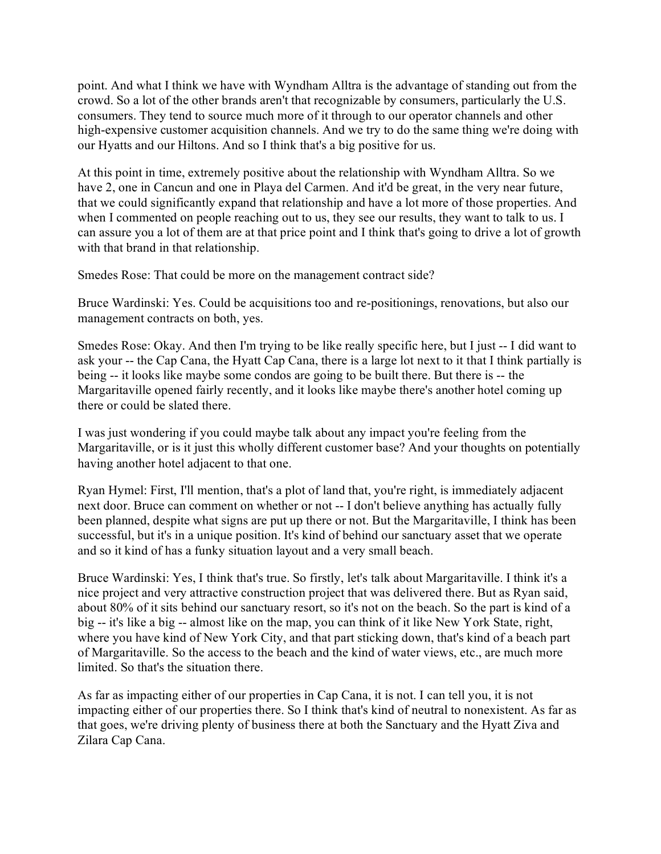point. And what I think we have with Wyndham Alltra is the advantage of standing out from the crowd. So a lot of the other brands aren't that recognizable by consumers, particularly the U.S. consumers. They tend to source much more of it through to our operator channels and other high-expensive customer acquisition channels. And we try to do the same thing we're doing with our Hyatts and our Hiltons. And so I think that's a big positive for us.

At this point in time, extremely positive about the relationship with Wyndham Alltra. So we have 2, one in Cancun and one in Playa del Carmen. And it'd be great, in the very near future, that we could significantly expand that relationship and have a lot more of those properties. And when I commented on people reaching out to us, they see our results, they want to talk to us. I can assure you a lot of them are at that price point and I think that's going to drive a lot of growth with that brand in that relationship.

Smedes Rose: That could be more on the management contract side?

Bruce Wardinski: Yes. Could be acquisitions too and re-positionings, renovations, but also our management contracts on both, yes.

Smedes Rose: Okay. And then I'm trying to be like really specific here, but I just -- I did want to ask your -- the Cap Cana, the Hyatt Cap Cana, there is a large lot next to it that I think partially is being -- it looks like maybe some condos are going to be built there. But there is -- the Margaritaville opened fairly recently, and it looks like maybe there's another hotel coming up there or could be slated there.

I was just wondering if you could maybe talk about any impact you're feeling from the Margaritaville, or is it just this wholly different customer base? And your thoughts on potentially having another hotel adjacent to that one.

Ryan Hymel: First, I'll mention, that's a plot of land that, you're right, is immediately adjacent next door. Bruce can comment on whether or not -- I don't believe anything has actually fully been planned, despite what signs are put up there or not. But the Margaritaville, I think has been successful, but it's in a unique position. It's kind of behind our sanctuary asset that we operate and so it kind of has a funky situation layout and a very small beach.

Bruce Wardinski: Yes, I think that's true. So firstly, let's talk about Margaritaville. I think it's a nice project and very attractive construction project that was delivered there. But as Ryan said, about 80% of it sits behind our sanctuary resort, so it's not on the beach. So the part is kind of a big -- it's like a big -- almost like on the map, you can think of it like New York State, right, where you have kind of New York City, and that part sticking down, that's kind of a beach part of Margaritaville. So the access to the beach and the kind of water views, etc., are much more limited. So that's the situation there.

As far as impacting either of our properties in Cap Cana, it is not. I can tell you, it is not impacting either of our properties there. So I think that's kind of neutral to nonexistent. As far as that goes, we're driving plenty of business there at both the Sanctuary and the Hyatt Ziva and Zilara Cap Cana.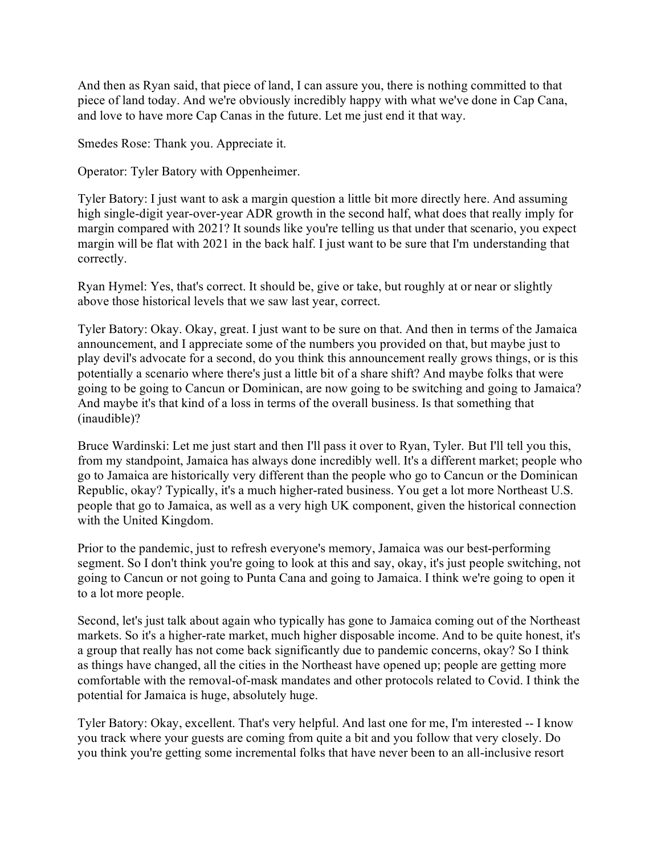And then as Ryan said, that piece of land, I can assure you, there is nothing committed to that piece of land today. And we're obviously incredibly happy with what we've done in Cap Cana, and love to have more Cap Canas in the future. Let me just end it that way.

Smedes Rose: Thank you. Appreciate it.

Operator: Tyler Batory with Oppenheimer.

Tyler Batory: I just want to ask a margin question a little bit more directly here. And assuming high single-digit year-over-year ADR growth in the second half, what does that really imply for margin compared with 2021? It sounds like you're telling us that under that scenario, you expect margin will be flat with 2021 in the back half. I just want to be sure that I'm understanding that correctly.

Ryan Hymel: Yes, that's correct. It should be, give or take, but roughly at or near or slightly above those historical levels that we saw last year, correct.

Tyler Batory: Okay. Okay, great. I just want to be sure on that. And then in terms of the Jamaica announcement, and I appreciate some of the numbers you provided on that, but maybe just to play devil's advocate for a second, do you think this announcement really grows things, or is this potentially a scenario where there's just a little bit of a share shift? And maybe folks that were going to be going to Cancun or Dominican, are now going to be switching and going to Jamaica? And maybe it's that kind of a loss in terms of the overall business. Is that something that (inaudible)?

Bruce Wardinski: Let me just start and then I'll pass it over to Ryan, Tyler. But I'll tell you this, from my standpoint, Jamaica has always done incredibly well. It's a different market; people who go to Jamaica are historically very different than the people who go to Cancun or the Dominican Republic, okay? Typically, it's a much higher-rated business. You get a lot more Northeast U.S. people that go to Jamaica, as well as a very high UK component, given the historical connection with the United Kingdom.

Prior to the pandemic, just to refresh everyone's memory, Jamaica was our best-performing segment. So I don't think you're going to look at this and say, okay, it's just people switching, not going to Cancun or not going to Punta Cana and going to Jamaica. I think we're going to open it to a lot more people.

Second, let's just talk about again who typically has gone to Jamaica coming out of the Northeast markets. So it's a higher-rate market, much higher disposable income. And to be quite honest, it's a group that really has not come back significantly due to pandemic concerns, okay? So I think as things have changed, all the cities in the Northeast have opened up; people are getting more comfortable with the removal-of-mask mandates and other protocols related to Covid. I think the potential for Jamaica is huge, absolutely huge.

Tyler Batory: Okay, excellent. That's very helpful. And last one for me, I'm interested -- I know you track where your guests are coming from quite a bit and you follow that very closely. Do you think you're getting some incremental folks that have never been to an all-inclusive resort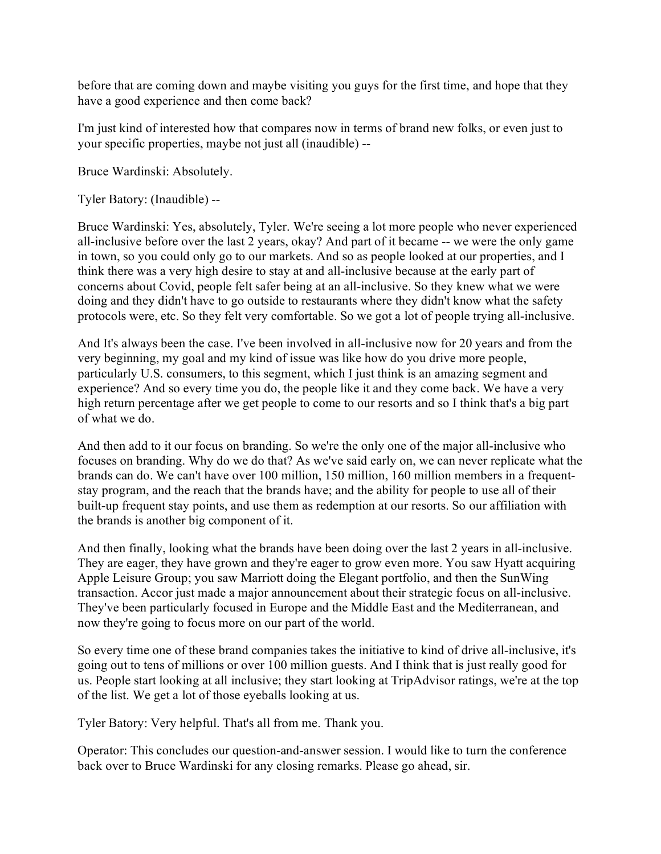before that are coming down and maybe visiting you guys for the first time, and hope that they have a good experience and then come back?

I'm just kind of interested how that compares now in terms of brand new folks, or even just to your specific properties, maybe not just all (inaudible) --

Bruce Wardinski: Absolutely.

Tyler Batory: (Inaudible) --

Bruce Wardinski: Yes, absolutely, Tyler. We're seeing a lot more people who never experienced all-inclusive before over the last 2 years, okay? And part of it became -- we were the only game in town, so you could only go to our markets. And so as people looked at our properties, and I think there was a very high desire to stay at and all-inclusive because at the early part of concerns about Covid, people felt safer being at an all-inclusive. So they knew what we were doing and they didn't have to go outside to restaurants where they didn't know what the safety protocols were, etc. So they felt very comfortable. So we got a lot of people trying all-inclusive.

And It's always been the case. I've been involved in all-inclusive now for 20 years and from the very beginning, my goal and my kind of issue was like how do you drive more people, particularly U.S. consumers, to this segment, which I just think is an amazing segment and experience? And so every time you do, the people like it and they come back. We have a very high return percentage after we get people to come to our resorts and so I think that's a big part of what we do.

And then add to it our focus on branding. So we're the only one of the major all-inclusive who focuses on branding. Why do we do that? As we've said early on, we can never replicate what the brands can do. We can't have over 100 million, 150 million, 160 million members in a frequentstay program, and the reach that the brands have; and the ability for people to use all of their built-up frequent stay points, and use them as redemption at our resorts. So our affiliation with the brands is another big component of it.

And then finally, looking what the brands have been doing over the last 2 years in all-inclusive. They are eager, they have grown and they're eager to grow even more. You saw Hyatt acquiring Apple Leisure Group; you saw Marriott doing the Elegant portfolio, and then the SunWing transaction. Accor just made a major announcement about their strategic focus on all-inclusive. They've been particularly focused in Europe and the Middle East and the Mediterranean, and now they're going to focus more on our part of the world.

So every time one of these brand companies takes the initiative to kind of drive all-inclusive, it's going out to tens of millions or over 100 million guests. And I think that is just really good for us. People start looking at all inclusive; they start looking at TripAdvisor ratings, we're at the top of the list. We get a lot of those eyeballs looking at us.

Tyler Batory: Very helpful. That's all from me. Thank you.

Operator: This concludes our question-and-answer session. I would like to turn the conference back over to Bruce Wardinski for any closing remarks. Please go ahead, sir.